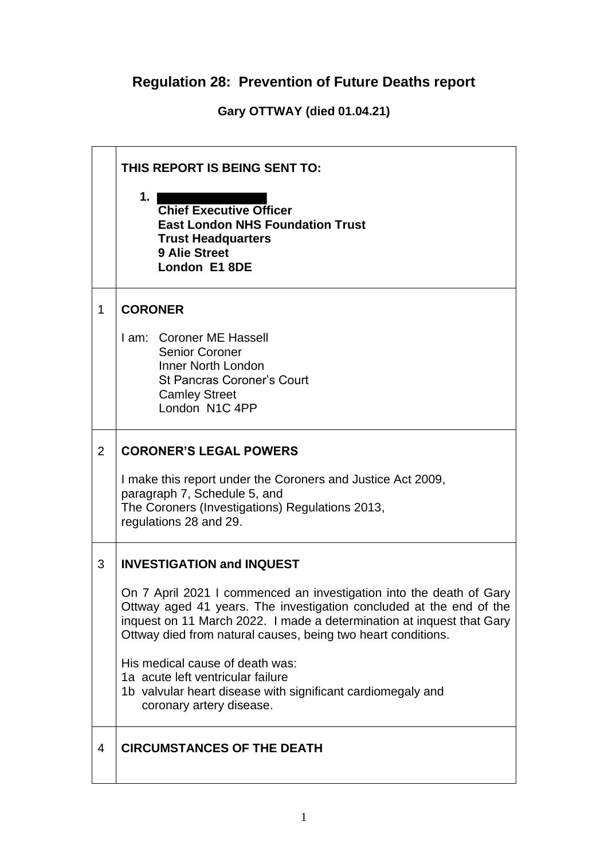## **Regulation 28: Prevention of Future Deaths report**

**Gary OTTWAY (died 01.04.21)**

|             | THIS REPORT IS BEING SENT TO:                                                                                                                                                                                                                                                       |  |  |
|-------------|-------------------------------------------------------------------------------------------------------------------------------------------------------------------------------------------------------------------------------------------------------------------------------------|--|--|
|             | 1.<br><b>Chief Executive Officer</b><br><b>East London NHS Foundation Trust</b><br><b>Trust Headquarters</b><br><b>9 Alie Street</b><br>London E1 8DE                                                                                                                               |  |  |
| $\mathbf 1$ | <b>CORONER</b>                                                                                                                                                                                                                                                                      |  |  |
|             | I am: Coroner ME Hassell<br>Senior Coroner<br><b>Inner North London</b><br><b>St Pancras Coroner's Court</b><br><b>Camley Street</b><br>London N1C 4PP                                                                                                                              |  |  |
| 2           | <b>CORONER'S LEGAL POWERS</b>                                                                                                                                                                                                                                                       |  |  |
|             | I make this report under the Coroners and Justice Act 2009,<br>paragraph 7, Schedule 5, and<br>The Coroners (Investigations) Regulations 2013,<br>regulations 28 and 29.                                                                                                            |  |  |
| 3           | <b>INVESTIGATION and INQUEST</b>                                                                                                                                                                                                                                                    |  |  |
|             | On 7 April 2021 I commenced an investigation into the death of Gary<br>Ottway aged 41 years. The investigation concluded at the end of the<br>inquest on 11 March 2022. I made a determination at inquest that Gary<br>Ottway died from natural causes, being two heart conditions. |  |  |
|             | His medical cause of death was:<br>1a acute left ventricular failure<br>1b valvular heart disease with significant cardiomegaly and<br>coronary artery disease.                                                                                                                     |  |  |
| 4           | <b>CIRCUMSTANCES OF THE DEATH</b>                                                                                                                                                                                                                                                   |  |  |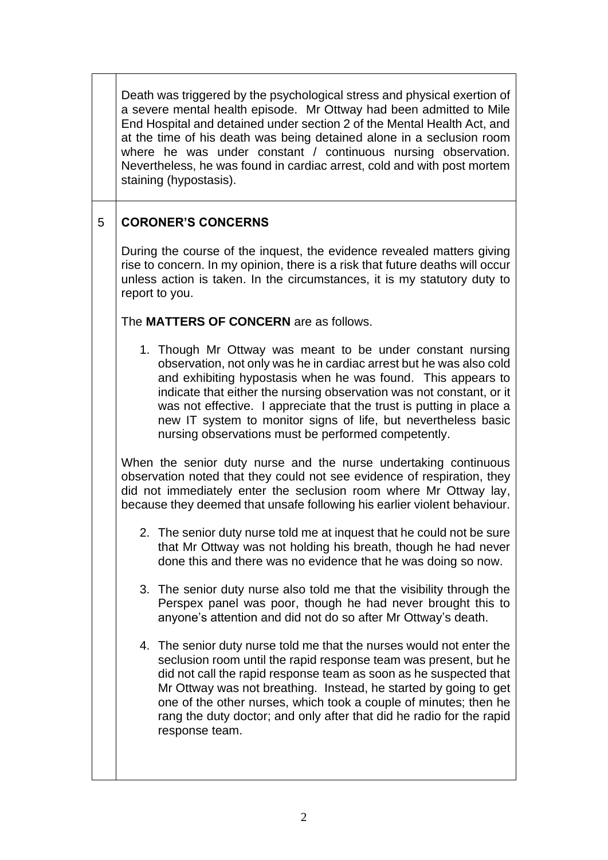Death was triggered by the psychological stress and physical exertion of a severe mental health episode. Mr Ottway had been admitted to Mile End Hospital and detained under section 2 of the Mental Health Act, and at the time of his death was being detained alone in a seclusion room where he was under constant / continuous nursing observation. Nevertheless, he was found in cardiac arrest, cold and with post mortem staining (hypostasis).

## 5 **CORONER'S CONCERNS**

During the course of the inquest, the evidence revealed matters giving rise to concern. In my opinion, there is a risk that future deaths will occur unless action is taken. In the circumstances, it is my statutory duty to report to you.

## The **MATTERS OF CONCERN** are as follows.

1. Though Mr Ottway was meant to be under constant nursing observation, not only was he in cardiac arrest but he was also cold and exhibiting hypostasis when he was found. This appears to indicate that either the nursing observation was not constant, or it was not effective. I appreciate that the trust is putting in place a new IT system to monitor signs of life, but nevertheless basic nursing observations must be performed competently.

When the senior duty nurse and the nurse undertaking continuous observation noted that they could not see evidence of respiration, they did not immediately enter the seclusion room where Mr Ottway lay, because they deemed that unsafe following his earlier violent behaviour.

- 2. The senior duty nurse told me at inquest that he could not be sure that Mr Ottway was not holding his breath, though he had never done this and there was no evidence that he was doing so now.
- 3. The senior duty nurse also told me that the visibility through the Perspex panel was poor, though he had never brought this to anyone's attention and did not do so after Mr Ottway's death.
- 4. The senior duty nurse told me that the nurses would not enter the seclusion room until the rapid response team was present, but he did not call the rapid response team as soon as he suspected that Mr Ottway was not breathing. Instead, he started by going to get one of the other nurses, which took a couple of minutes; then he rang the duty doctor; and only after that did he radio for the rapid response team.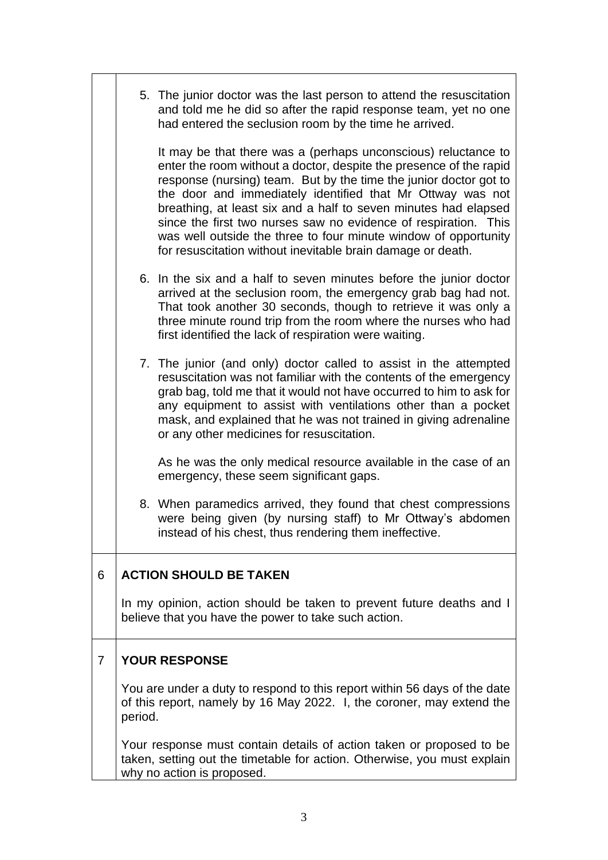|                                                                                                                                                                                | 5. The junior doctor was the last person to attend the resuscitation<br>and told me he did so after the rapid response team, yet no one<br>had entered the seclusion room by the time he arrived. |                                                                                                                                                                                                                                                                                                                                                                                                                                                                                                                                                 |  |  |  |
|--------------------------------------------------------------------------------------------------------------------------------------------------------------------------------|---------------------------------------------------------------------------------------------------------------------------------------------------------------------------------------------------|-------------------------------------------------------------------------------------------------------------------------------------------------------------------------------------------------------------------------------------------------------------------------------------------------------------------------------------------------------------------------------------------------------------------------------------------------------------------------------------------------------------------------------------------------|--|--|--|
|                                                                                                                                                                                |                                                                                                                                                                                                   | It may be that there was a (perhaps unconscious) reluctance to<br>enter the room without a doctor, despite the presence of the rapid<br>response (nursing) team. But by the time the junior doctor got to<br>the door and immediately identified that Mr Ottway was not<br>breathing, at least six and a half to seven minutes had elapsed<br>since the first two nurses saw no evidence of respiration. This<br>was well outside the three to four minute window of opportunity<br>for resuscitation without inevitable brain damage or death. |  |  |  |
|                                                                                                                                                                                |                                                                                                                                                                                                   | 6. In the six and a half to seven minutes before the junior doctor<br>arrived at the seclusion room, the emergency grab bag had not.<br>That took another 30 seconds, though to retrieve it was only a<br>three minute round trip from the room where the nurses who had<br>first identified the lack of respiration were waiting.                                                                                                                                                                                                              |  |  |  |
|                                                                                                                                                                                |                                                                                                                                                                                                   | 7. The junior (and only) doctor called to assist in the attempted<br>resuscitation was not familiar with the contents of the emergency<br>grab bag, told me that it would not have occurred to him to ask for<br>any equipment to assist with ventilations other than a pocket<br>mask, and explained that he was not trained in giving adrenaline<br>or any other medicines for resuscitation.                                                                                                                                                 |  |  |  |
|                                                                                                                                                                                |                                                                                                                                                                                                   | As he was the only medical resource available in the case of an<br>emergency, these seem significant gaps.                                                                                                                                                                                                                                                                                                                                                                                                                                      |  |  |  |
|                                                                                                                                                                                |                                                                                                                                                                                                   | 8. When paramedics arrived, they found that chest compressions<br>were being given (by nursing staff) to Mr Ottway's abdomen<br>instead of his chest, thus rendering them ineffective.                                                                                                                                                                                                                                                                                                                                                          |  |  |  |
| 6                                                                                                                                                                              |                                                                                                                                                                                                   | <b>ACTION SHOULD BE TAKEN</b>                                                                                                                                                                                                                                                                                                                                                                                                                                                                                                                   |  |  |  |
|                                                                                                                                                                                | In my opinion, action should be taken to prevent future deaths and I<br>believe that you have the power to take such action.                                                                      |                                                                                                                                                                                                                                                                                                                                                                                                                                                                                                                                                 |  |  |  |
| $\overline{7}$                                                                                                                                                                 | <b>YOUR RESPONSE</b>                                                                                                                                                                              |                                                                                                                                                                                                                                                                                                                                                                                                                                                                                                                                                 |  |  |  |
|                                                                                                                                                                                | You are under a duty to respond to this report within 56 days of the date<br>of this report, namely by 16 May 2022. I, the coroner, may extend the<br>period.                                     |                                                                                                                                                                                                                                                                                                                                                                                                                                                                                                                                                 |  |  |  |
| Your response must contain details of action taken or proposed to be<br>taken, setting out the timetable for action. Otherwise, you must explain<br>why no action is proposed. |                                                                                                                                                                                                   |                                                                                                                                                                                                                                                                                                                                                                                                                                                                                                                                                 |  |  |  |